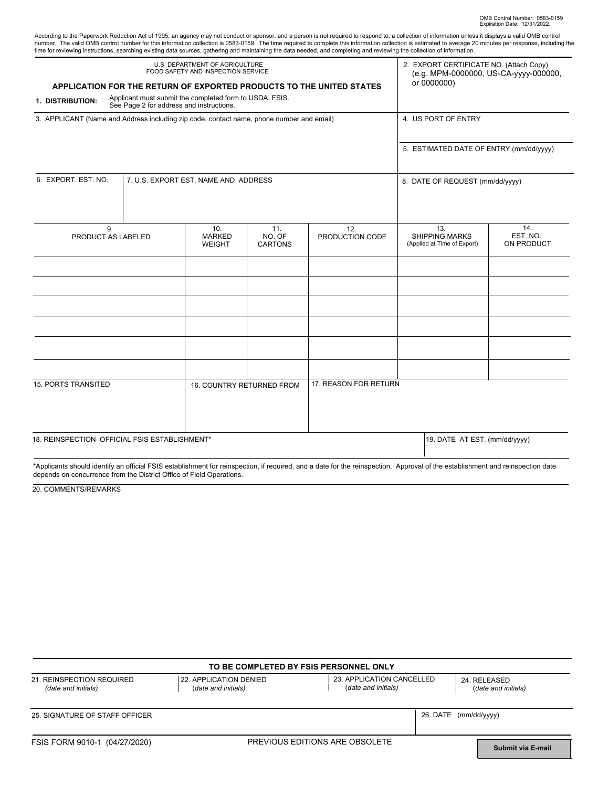| According to the Paperwork Reduction Act of 1995, an agency may not conduct or sponsor, and a person is not required to respond to, a collection of information unless it displays a valid OMB control      |
|-------------------------------------------------------------------------------------------------------------------------------------------------------------------------------------------------------------|
| number. The valid OMB control number for this information collection is 0583-0159. The time required to complete this information collection is estimated to average 20 minutes per response, including the |
| time for reviewing instructions, searching existing data sources, gathering and maintaining the data needed, and completing and reviewing the collection of information.                                    |

| U.S. DEPARTMENT OF AGRICULTURE<br>FOOD SAFETY AND INSPECTION SERVICE                                                                 |                                                         |                                       |                                 |                        | 2. EXPORT CERTIFICATE NO. (Attach Copy)<br>(e.g. MPM-0000000, US-CA-yyyy-000000, |                               |
|--------------------------------------------------------------------------------------------------------------------------------------|---------------------------------------------------------|---------------------------------------|---------------------------------|------------------------|----------------------------------------------------------------------------------|-------------------------------|
| APPLICATION FOR THE RETURN OF EXPORTED PRODUCTS TO THE UNITED STATES<br>1. DISTRIBUTION:                                             | Applicant must submit the completed form to USDA, FSIS. | or 0000000)                           |                                 |                        |                                                                                  |                               |
| See Page 2 for address and instructions.<br>3. APPLICANT (Name and Address including zip code, contact name, phone number and email) |                                                         |                                       |                                 |                        | 4. US PORT OF ENTRY                                                              |                               |
|                                                                                                                                      |                                                         |                                       |                                 |                        | 5. ESTIMATED DATE OF ENTRY (mm/dd/yyyy)                                          |                               |
| 6. EXPORT, EST, NO.                                                                                                                  | 7. U.S. EXPORT EST. NAME AND ADDRESS                    |                                       |                                 |                        | 8. DATE OF REQUEST (mm/dd/yyyy)                                                  |                               |
| 9.<br>PRODUCT AS LABELED                                                                                                             |                                                         | 10.<br><b>MARKED</b><br><b>WEIGHT</b> | 11.<br>NO. OF<br><b>CARTONS</b> | 12.<br>PRODUCTION CODE | 13.<br><b>SHIPPING MARKS</b><br>(Applied at Time of Export)                      | 14.<br>EST. NO.<br>ON PRODUCT |
|                                                                                                                                      |                                                         |                                       |                                 |                        |                                                                                  |                               |
|                                                                                                                                      |                                                         |                                       |                                 |                        |                                                                                  |                               |
|                                                                                                                                      |                                                         |                                       |                                 |                        |                                                                                  |                               |
| <b>15. PORTS TRANSITED</b>                                                                                                           |                                                         | 16. COUNTRY RETURNED FROM             |                                 | 17. REASON FOR RETURN  |                                                                                  |                               |
| 18. REINSPECTION OFFICIAL FSIS ESTABLISHMENT*                                                                                        |                                                         |                                       |                                 |                        | 19. DATE AT EST. (mm/dd/yyyy)                                                    |                               |

\*Applicants should identify an official FSIS establishment for reinspection, if required, and a date for the reinspection. Approval of the establishment and reinspection date depends on concurrence from the District Office of Field Operations.

20. COMMENTS/REMARKS

| TO BE COMPLETED BY FSIS PERSONNEL ONLY           |                                               |                                                  |                                     |  |  |  |
|--------------------------------------------------|-----------------------------------------------|--------------------------------------------------|-------------------------------------|--|--|--|
| 21. REINSPECTION REQUIRED<br>(date and initials) | 22. APPLICATION DENIED<br>(date and initials) | 23. APPLICATION CANCELLED<br>(date and initials) | 24. RELEASED<br>(date and initials) |  |  |  |
| 25. SIGNATURE OF STAFF OFFICER                   |                                               |                                                  | 26. DATE (mm/dd/yyyy)               |  |  |  |
| FSIS FORM 9010-1 (04/27/2020)                    |                                               | PREVIOUS EDITIONS ARE OBSOLETE                   | <b>Submit via E-mail</b>            |  |  |  |